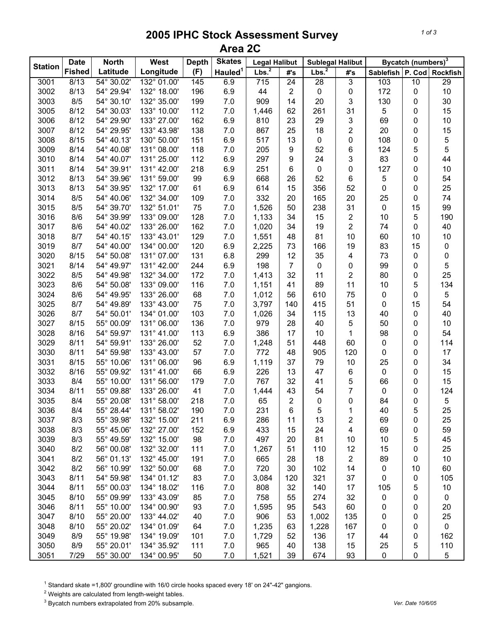## **2005 IPHC Stock Assessment Survey Area 2C**

|                | <b>Date</b>   | <b>North</b> | West        | <b>Depth</b> | <b>Skates</b>       | <b>Legal Halibut</b> |                | <b>Sublegal Halibut</b> |                | Bycatch (numbers) <sup>3</sup> |    |                 |
|----------------|---------------|--------------|-------------|--------------|---------------------|----------------------|----------------|-------------------------|----------------|--------------------------------|----|-----------------|
| <b>Station</b> | <b>Fished</b> | Latitude     | Longitude   | (F)          | Hauled <sup>1</sup> | Lbs. <sup>2</sup>    | #'s            | Lbs. <sup>2</sup>       | #'s            | Sablefish P. Cod               |    | <b>Rockfish</b> |
| 3001           | 8/13          | 54° 30.02'   | 132° 01.00' | 145          | 6.9                 | 715                  | 24             | 28                      | 3              | 103                            | 10 | 29              |
| 3002           | 8/13          | 54° 29.94'   | 132° 18.00' | 196          | 6.9                 | 44                   | 2              | 0                       | 0              | 172                            | 0  | 10              |
| 3003           | 8/5           | 54° 30.10'   | 132° 35.00' | 199          | 7.0                 | 909                  | 14             | 20                      | 3              | 130                            | 0  | 30              |
| 3005           | 8/12          | 54° 30.03'   | 133° 10.00' | 112          | 7.0                 | 1,446                | 62             | 261                     | 31             | 5                              | 0  | 15              |
| 3006           | 8/12          | 54° 29.90'   | 133° 27.00' | 162          | 6.9                 | 810                  | 23             | 29                      | 3              | 69                             | 0  | 10              |
| 3007           | 8/12          | 54° 29.95'   | 133° 43.98' | 138          | 7.0                 | 867                  | 25             | 18                      | $\overline{c}$ | 20                             | 0  | 15              |
| 3008           | 8/15          | 54° 40.13'   | 130° 50.00' | 151          | 6.9                 | 517                  | 13             | 0                       | 0              | 108                            | 0  | 5               |
| 3009           | 8/14          | 54° 40.08'   | 131° 08.00' | 118          | 7.0                 | 205                  | 9              | 52                      | 6              | 124                            | 5  | 5               |
| 3010           | 8/14          | 54° 40.07'   | 131° 25.00' | 112          | 6.9                 | 297                  | 9              | 24                      | 3              | 83                             | 0  | 44              |
| 3011           | 8/14          | 54° 39.91'   | 131° 42.00' | 218          | 6.9                 | 251                  | 6              | 0                       | 0              | 127                            | 0  | 10              |
| 3012           | 8/13          | 54° 39.96'   | 131° 59.00' | 99           | 6.9                 | 668                  | 26             | 52                      | 6              | 5                              | 0  | 54              |
| 3013           | 8/13          | 54° 39.95'   | 132° 17.00' | 61           | 6.9                 | 614                  | 15             | 356                     | 52             | 0                              | 0  | 25              |
| 3014           | 8/5           | 54° 40.06'   | 132° 34.00' | 109          | 7.0                 | 332                  | 20             | 165                     | 20             | 25                             | 0  | 74              |
| 3015           | 8/5           | 54° 39.70'   | 132° 51.01' | 75           | 7.0                 | 1,526                | 50             | 238                     | 31             | 0                              | 15 | 99              |
| 3016           | 8/6           | 54° 39.99'   | 133° 09.00' | 128          | 7.0                 | 1,133                | 34             | 15                      | $\overline{c}$ | 10                             | 5  | 190             |
| 3017           | 8/6           | 54° 40.02'   | 133° 26.00' | 162          | 7.0                 | 1,020                | 34             | 19                      | 2              | 74                             | 0  | 40              |
| 3018           | 8/7           | 54° 40.15'   | 133° 43.01' | 129          | 7.0                 | 1,551                | 48             | 81                      | 10             | 60                             | 10 | 10              |
| 3019           | 8/7           | 54° 40.00'   | 134° 00.00' | 120          | 6.9                 | 2,225                | 73             | 166                     | 19             | 83                             | 15 | $\pmb{0}$       |
| 3020           | 8/15          | 54° 50.08'   | 131° 07.00' | 131          | 6.8                 | 299                  | 12             | 35                      | 4              | 73                             | 0  | 0               |
| 3021           | 8/14          | 54° 49.97'   | 131° 42.00' | 244          | 6.9                 | 198                  | $\overline{7}$ | 0                       | 0              | 99                             | 0  | 5               |
| 3022           | 8/5           | 54° 49.98'   | 132° 34.00' | 172          | 7.0                 | 1,413                | 32             | 11                      | 2              | 80                             | 0  | 25              |
| 3023           | 8/6           | 54° 50.08'   | 133° 09.00' | 116          | 7.0                 | 1,151                | 41             | 89                      | 11             | 10                             | 5  | 134             |
| 3024           | 8/6           | 54° 49.95'   | 133° 26.00' | 68           | 7.0                 | 1,012                | 56             | 610                     | 75             | 0                              | 0  | 5               |
| 3025           | 8/7           | 54° 49.89'   | 133° 43.00' | 75           | 7.0                 | 3,797                | 140            | 415                     | 51             | 0                              | 15 | 54              |
| 3026           | 8/7           | 54° 50.01'   | 134° 01.00' | 103          | 7.0                 | 1,026                | 34             | 115                     | 13             | 40                             | 0  | 40              |
| 3027           | 8/15          | 55° 00.09'   | 131° 06.00' | 136          | 7.0                 | 979                  | 28             | 40                      | 5              | 50                             | 0  | 10              |
| 3028           | 8/16          | 54° 59.97'   | 131° 41.00' | 113          | 6.9                 | 386                  | 17             | 10                      | $\mathbf 1$    | 98                             | 0  | 54              |
| 3029           | 8/11          | 54° 59.91'   | 133° 26.00' | 52           | 7.0                 | 1,248                | 51             | 448                     | 60             | $\pmb{0}$                      | 0  | 114             |
| 3030           | 8/11          | 54° 59.98'   | 133° 43.00' | 57           | 7.0                 | 772                  | 48             | 905                     | 120            | 0                              | 0  | 17              |
| 3031           | 8/15          | 55° 10.06'   | 131° 06.00' | 96           | 6.9                 | 1,119                | 37             | 79                      | 10             | 25                             | 0  | 34              |
| 3032           | 8/16          | 55° 09.92'   | 131° 41.00' | 66           | 6.9                 | 226                  | 13             | 47                      | 6              | 0                              | 0  | 15              |
| 3033           | 8/4           | 55° 10.00'   | 131° 56.00' | 179          | 7.0                 | 767                  | 32             | 41                      | 5              | 66                             | 0  | 15              |
| 3034           | 8/11          | 55° 09.88'   | 133° 26.00' | 41           | 7.0                 | 1,444                | 43             | 54                      | 7              | 0                              | 0  | 124             |
| 3035           | 8/4           | 55° 20.08'   | 131° 58.00' | 218          | 7.0                 | 65                   | $\overline{2}$ | $\mathbf 0$             | 0              | 84                             | 0  | 5               |
| 3036           | 8/4           | 55° 28.44'   | 131° 58.02' | 190          | 7.0                 | 231                  | 6              | 5                       | 1              | 40                             | 5  | 25              |
| 3037           | 8/3           | 55° 39.98'   | 132° 15.00' | 211          | 6.9                 | 286                  | 11             | 13                      | 2              | 69                             | 0  | 25              |
| 3038           | 8/3           | 55° 45.06'   | 132° 27.00' | 152          | 6.9                 | 433                  | 15             | 24                      | 4              | 69                             | 0  | 59              |
| 3039           | 8/3           | 55° 49.59'   | 132° 15.00' | 98           | 7.0                 | 497                  | 20             | 81                      | 10             | 10                             | 5  | 45              |
| 3040           | 8/2           | 56° 00.08'   | 132° 32.00' | 111          | 7.0                 | 1,267                | 51             | 110                     | 12             | 15                             | 0  | 25              |
| 3041           | 8/2           | 56° 01.13'   | 132° 45.00' | 191          | 7.0                 | 665                  | 28             | 18                      | 2              | 89                             | 0  | 10              |
| 3042           | 8/2           | 56° 10.99'   | 132° 50.00' | 68           | 7.0                 | 720                  | 30             | 102                     | 14             | 0                              | 10 | 60              |
| 3043           | 8/11          | 54° 59.98'   | 134° 01.12' | 83           | 7.0                 | 3,084                | 120            | 321                     | 37             | 0                              | 0  | 105             |
| 3044           | 8/11          | 55° 00.03'   | 134° 18.02' | 116          | 7.0                 | 808                  | 32             | 140                     | 17             | 105                            | 5  | 10              |
| 3045           | 8/10          | 55° 09.99'   | 133° 43.09' | 85           | 7.0                 | 758                  | 55             | 274                     | 32             | 0                              | 0  | $\mathbf 0$     |
| 3046           | 8/11          | 55° 10.00'   | 134° 00.90' | 93           | 7.0                 | 1,595                | 95             | 543                     | 60             | 0                              | 0  | 20              |
| 3047           | 8/10          | 55° 20.00'   | 133° 44.02' | 40           | 7.0                 | 906                  | 53             | 1,002                   | 135            | 0                              | 0  | 25              |
| 3048           | 8/10          | 55° 20.02'   | 134° 01.09' | 64           | 7.0                 | 1,235                | 63             | 1,228                   | 167            | 0                              | 0  | $\mathbf 0$     |
| 3049           | 8/9           | 55° 19.98'   | 134° 19.09' | 101          | 7.0                 | 1,729                | 52             | 136                     | 17             | 44                             | 0  | 162             |
| 3050           | 8/9           | 55° 20.01'   | 134° 35.92' | 111          | 7.0                 | 965                  | 40             | 138                     | 15             | 25                             | 5  | 110             |
| 3051           | 7/29          | 55° 30.00'   | 134° 00.95' | 50           | 7.0                 | 1,521                | 39             | 674                     | 93             | 0                              | 0  | 5               |

<sup>1</sup> Standard skate =1,800' groundline with 16/0 circle hooks spaced every 18' on 24"-42" gangions.

 $2$  Weights are calculated from length-weight tables.

3 Bycatch numbers extrapolated from 20% subsample. *Ver. Date 10/6/05*

*1 of 3*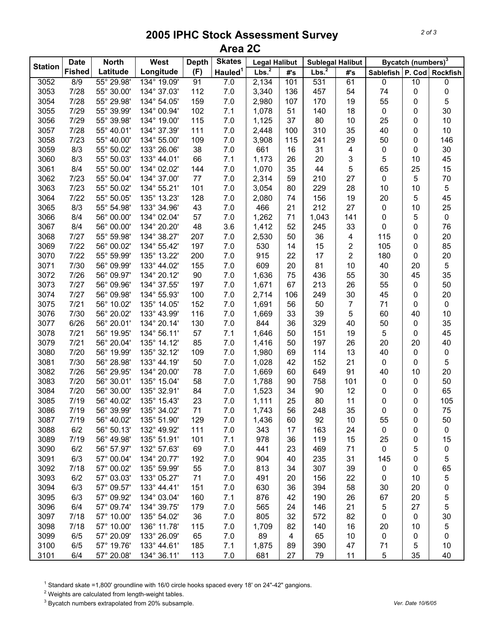## **2005 IPHC Stock Assessment Survey Area 2C**

|                | <b>Date</b>   | <b>North</b> | <b>West</b> | <b>Depth</b> | <b>Skates</b>       | <b>Legal Halibut</b> |                         | <b>Sublegal Halibut</b> |                | Bycatch (numbers) <sup>3</sup> |    |             |
|----------------|---------------|--------------|-------------|--------------|---------------------|----------------------|-------------------------|-------------------------|----------------|--------------------------------|----|-------------|
| <b>Station</b> | <b>Fished</b> | Latitude     | Longitude   | (F)          | Hauled <sup>1</sup> | Lbs. $^2$            | #'s                     | Lbs. $^2$               | #'s            | Sablefish P. Cod Rockfish      |    |             |
| 3052           | 8/9           | 55° 29.98'   | 134° 19.09' | 91           | 7.0                 | 2,134                | 101                     | 531                     | 61             | 0                              | 10 | 0           |
| 3053           | 7/28          | 55° 30.00'   | 134° 37.03' | 112          | 7.0                 | 3,340                | 136                     | 457                     | 54             | 74                             | 0  | 0           |
| 3054           | 7/28          | 55° 29.98'   | 134° 54.05' | 159          | 7.0                 | 2,980                | 107                     | 170                     | 19             | 55                             | 0  | 5           |
| 3055           | 7/29          | 55° 39.99'   | 134° 00.94' | 102          | 7.1                 | 1,078                | 51                      | 140                     | 18             | $\pmb{0}$                      | 0  | 30          |
| 3056           | 7/29          | 55° 39.98'   | 134° 19.00' | 115          | 7.0                 | 1,125                | 37                      | 80                      | 10             | 25                             | 0  | 10          |
| 3057           | 7/28          | 55° 40.01'   | 134° 37.39' | 111          | 7.0                 | 2,448                | 100                     | 310                     | 35             | 40                             | 0  | 10          |
| 3058           | 7/23          | 55° 40.00'   | 134° 55.00' | 109          | 7.0                 | 3,908                | 115                     | 241                     | 29             | 50                             | 0  | 146         |
| 3059           | 8/3           | 55° 50.02'   | 133° 26.06' | 38           | 7.0                 | 661                  | 16                      | 31                      | 4              | $\pmb{0}$                      | 0  | 30          |
| 3060           | 8/3           | 55° 50.03'   | 133° 44.01' | 66           | 7.1                 | 1,173                | 26                      | 20                      | 3              | 5                              | 10 | 45          |
| 3061           | 8/4           | 55° 50.00'   | 134° 02.02' | 144          | 7.0                 | 1,070                | 35                      | 44                      | 5              | 65                             | 25 | 15          |
| 3062           | 7/23          | 55° 50.04'   | 134° 37.00' | 77           | 7.0                 | 2,314                | 59                      | 210                     | 27             | $\pmb{0}$                      | 5  | 70          |
| 3063           | 7/23          | 55° 50.02'   | 134° 55.21' | 101          | 7.0                 | 3,054                | 80                      | 229                     | 28             | 10                             | 10 | 5           |
| 3064           | 7/22          | 55° 50.05'   | 135° 13.23' | 128          | 7.0                 | 2,080                | 74                      | 156                     | 19             | 20                             | 5  | 45          |
| 3065           | 8/3           | 55° 54.98'   | 133° 34.96' | 43           | 7.0                 | 466                  | 21                      | 212                     | 27             | $\mathbf 0$                    | 10 | 25          |
| 3066           | 8/4           | 56° 00.00'   | 134° 02.04' | 57           | 7.0                 | 1,262                | 71                      | 1,043                   | 141            | 0                              | 5  | $\pmb{0}$   |
| 3067           | 8/4           | 56° 00.00'   | 134° 20.20' | 48           | 3.6                 | 1,412                | 52                      | 245                     | 33             | 0                              | 0  | 76          |
| 3068           | 7/27          | 55° 59.98'   | 134° 38.27' | 207          | 7.0                 | 2,530                | 50                      | 36                      | 4              | 115                            | 0  | 20          |
| 3069           | 7/22          | 56° 00.02'   | 134° 55.42' | 197          | 7.0                 | 530                  | 14                      | 15                      | 2              | 105                            | 0  | 85          |
| 3070           | 7/22          | 55° 59.99'   | 135° 13.22' | 200          | 7.0                 | 915                  | 22                      | 17                      | 2              | 180                            | 0  | 20          |
| 3071           | 7/30          | 56° 09.99'   | 133° 44.02' | 155          | 7.0                 | 609                  | 20                      | 81                      | 10             | 40                             | 20 | 5           |
| 3072           | 7/26          | 56° 09.97'   | 134° 20.12' | 90           | 7.0                 | 1,636                | 75                      | 436                     | 55             | 30                             | 45 | 35          |
| 3073           | 7/27          | 56° 09.96'   | 134° 37.55' | 197          | 7.0                 | 1,671                | 67                      | 213                     | 26             | 55                             | 0  | 50          |
| 3074           | 7/27          | 56° 09.98'   | 134° 55.93' | 100          | 7.0                 | 2,714                | 106                     | 249                     | 30             | 45                             | 0  | 20          |
| 3075           | $7/21$        | 56° 10.02'   | 135° 14.05' | 152          | 7.0                 | 1,691                | 56                      | 50                      | $\overline{7}$ | 71                             | 0  | $\pmb{0}$   |
| 3076           | 7/30          | 56° 20.02'   | 133° 43.99' | 116          | 7.0                 | 1,669                | 33                      | 39                      | 5              | 60                             | 40 | 10          |
| 3077           | 6/26          | 56° 20.01'   | 134° 20.14' | 130          | 7.0                 | 844                  | 36                      | 329                     | 40             | 50                             | 0  | 35          |
| 3078           | 7/21          | 56° 19.95'   | 134° 56.11' | 57           | 7.1                 | 1,646                | 50                      | 151                     | 19             | 5                              | 0  | 45          |
| 3079           | 7/21          | 56° 20.04'   | 135° 14.12' | 85           | 7.0                 | 1,416                | 50                      | 197                     | 26             | 20                             | 20 | 40          |
| 3080           | 7/20          | 56° 19.99'   | 135° 32.12' | 109          | 7.0                 | 1,980                | 69                      | 114                     | 13             | 40                             | 0  | $\pmb{0}$   |
| 3081           | 7/30          | 56° 28.98'   | 133° 44.19' | 50           | 7.0                 | 1,028                | 42                      | 152                     | 21             | $\mathbf 0$                    | 0  | 5           |
| 3082           | 7/26          | 56° 29.95'   | 134° 20.00' | 78           | 7.0                 | 1,669                | 60                      | 649                     | 91             | 40                             | 10 | 20          |
| 3083           | 7/20          | 56° 30.01'   | 135° 15.04' | 58           | 7.0                 | 1,788                | 90                      | 758                     | 101            | 0                              | 0  | 50          |
| 3084           | 7/20          | 56° 30.00'   | 135° 32.91' | 84           | 7.0                 | 1,523                | 34                      | 90                      | 12             | 0                              | 0  | 65          |
| 3085           | 7/19          | 56° 40.02'   | 135° 15.43' | 23           | 7.0                 | 1,111                | 25                      | 80                      | 11             | 0                              | 0  | 105         |
| 3086           | 7/19          | 56° 39.99'   | 135° 34.02' | 71           | 7.0                 | 1,743                | 56                      | 248                     | 35             | 0                              | 0  | 75          |
| 3087           | 7/19          | 56° 40.02'   | 135° 51.90' | 129          | 7.0                 | 1,436                | 60                      | 92                      | 10             | 55                             | 0  | 50          |
| 3088           | 6/2           | 56° 50.13'   | 132° 49.92' | 111          | 7.0                 | 343                  | 17                      | 163                     | 24             | 0                              | 0  | $\mathbf 0$ |
| 3089           | 7/19          | 56° 49.98'   | 135° 51.91' | 101          | 7.1                 | 978                  | 36                      | 119                     | 15             | 25                             | 0  | 15          |
| 3090           | 6/2           | 56° 57.97'   | 132° 57.63' | 69           | 7.0                 | 441                  | 23                      | 469                     | 71             | 0                              | 5  | 0           |
| 3091           | 6/3           | 57° 00.04'   | 134° 20.77' | 192          | 7.0                 | 904                  | 40                      | 235                     | 31             | 145                            | 0  | 5           |
| 3092           | 7/18          | 57° 00.02'   | 135° 59.99' | 55           | 7.0                 | 813                  | 34                      | 307                     | 39             | 0                              | 0  | 65          |
| 3093           | 6/2           | 57° 03.03'   | 133° 05.27' | 71           | 7.0                 | 491                  | 20                      | 156                     | 22             | 0                              | 10 | 5           |
| 3094           | 6/3           | 57° 09.57'   | 133° 44.41' | 151          | 7.0                 | 630                  | 36                      | 394                     | 58             | 30                             | 20 | 0           |
| 3095           | 6/3           | 57° 09.92'   | 134° 03.04' | 160          | 7.1                 | 876                  | 42                      | 190                     | 26             | 67                             | 20 | 5           |
| 3096           | 6/4           | 57° 09.74'   | 134° 39.75' | 179          | 7.0                 | 565                  | 24                      | 146                     | 21             | 5                              | 27 | 5           |
| 3097           | 7/18          | 57° 10.00'   | 135° 54.02' | 36           | 7.0                 | 805                  | 32                      | 572                     | 82             | 0                              | 0  | 30          |
| 3098           | 7/18          | 57° 10.00'   | 136° 11.78' | 115          | 7.0                 | 1,709                | 82                      | 140                     | 16             | 20                             | 10 | 5           |
| 3099           | 6/5           | 57° 20.09'   | 133° 26.09' | 65           | 7.0                 | 89                   | $\overline{\mathbf{4}}$ | 65                      | 10             | 0                              | 0  | 0           |
| 3100           | 6/5           | 57° 19.76'   | 133° 44.61' | 185          | 7.1                 | 1,875                | 89                      | 390                     | 47             | 71                             | 5  | 10          |
| 3101           | 6/4           | 57° 20.08'   | 134° 36.11' | 113          | 7.0                 | 681                  | 27                      | 79                      | 11             | 5                              | 35 | 40          |

<sup>1</sup> Standard skate =1,800' groundline with 16/0 circle hooks spaced every 18' on 24"-42" gangions.

 $2$  Weights are calculated from length-weight tables.

3 Bycatch numbers extrapolated from 20% subsample. *Ver. Date 10/6/05*

*2 of 3*